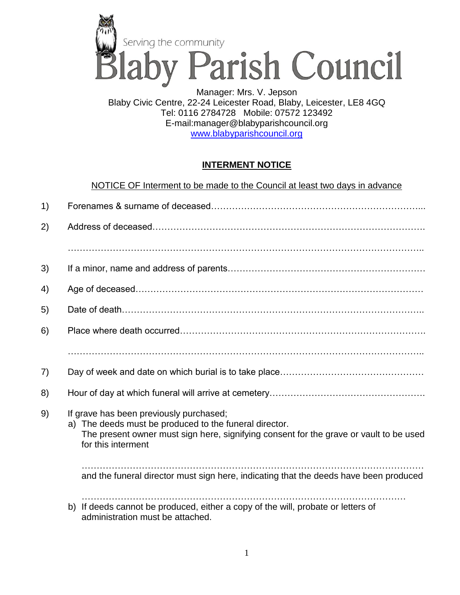

Blaby Civic Centre, 22-24 Leicester Road, Blaby, Leicester, LE8 4GQ Tel: 0116 2784728 Mobile: 07572 123492 E-mail:manager@blabyparishcouncil.org [www.blabyparishcouncil.org](http://www.parishcouncil.org/)

## **INTERMENT NOTICE**

NOTICE OF Interment to be made to the Council at least two days in advance

| 1) |                                                                                                                                                                                                                   |
|----|-------------------------------------------------------------------------------------------------------------------------------------------------------------------------------------------------------------------|
| 2) |                                                                                                                                                                                                                   |
|    |                                                                                                                                                                                                                   |
| 3) |                                                                                                                                                                                                                   |
| 4) |                                                                                                                                                                                                                   |
| 5) |                                                                                                                                                                                                                   |
| 6) |                                                                                                                                                                                                                   |
|    |                                                                                                                                                                                                                   |
| 7) |                                                                                                                                                                                                                   |
| 8) |                                                                                                                                                                                                                   |
| 9) | If grave has been previously purchased;<br>a) The deeds must be produced to the funeral director.<br>The present owner must sign here, signifying consent for the grave or vault to be used<br>for this interment |
|    | and the funeral director must sign here, indicating that the deeds have been produced                                                                                                                             |
|    | b) If deeds cannot be produced, either a copy of the will, probate or letters of<br>administration must be attached.                                                                                              |